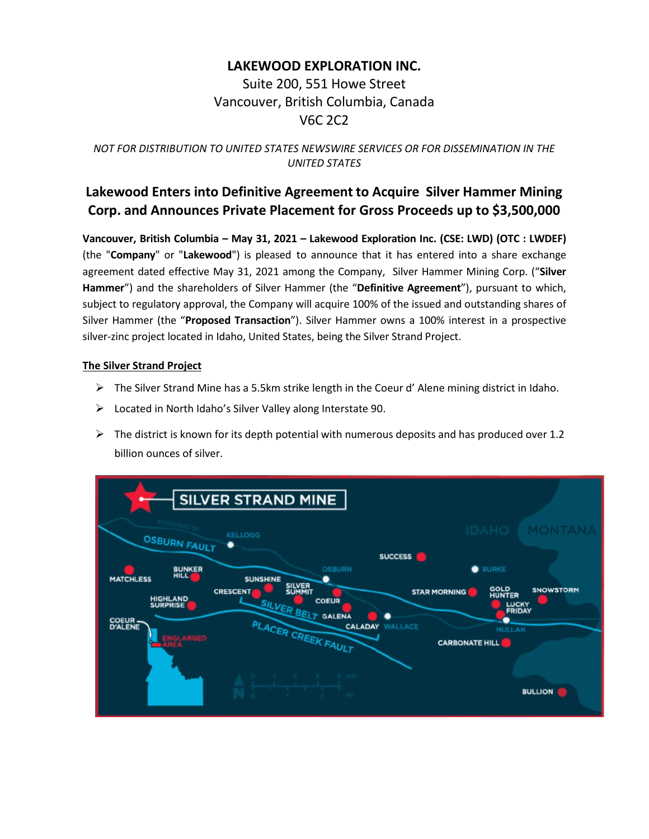## **LAKEWOOD EXPLORATION INC.**

# Suite 200, 551 Howe Street Vancouver, British Columbia, Canada V6C 2C2

### *NOT FOR DISTRIBUTION TO UNITED STATES NEWSWIRE SERVICES OR FOR DISSEMINATION IN THE UNITED STATES*

# **Lakewood Enters into Definitive Agreement to Acquire Silver Hammer Mining Corp. and Announces Private Placement for Gross Proceeds up to \$3,500,000**

**Vancouver, British Columbia – May 31, 2021 – Lakewood Exploration Inc. (CSE: LWD) (OTC : LWDEF)** (the "**Company**" or "**Lakewood**") is pleased to announce that it has entered into a share exchange agreement dated effective May 31, 2021 among the Company, Silver Hammer Mining Corp. ("**Silver Hammer**") and the shareholders of Silver Hammer (the "**Definitive Agreement**"), pursuant to which, subject to regulatory approval, the Company will acquire 100% of the issued and outstanding shares of Silver Hammer (the "**Proposed Transaction**"). Silver Hammer owns a 100% interest in a prospective silver-zinc project located in Idaho, United States, being the Silver Strand Project.

### **The Silver Strand Project**

- $\triangleright$  The Silver Strand Mine has a 5.5km strike length in the Coeur d' Alene mining district in Idaho.
- Located in North Idaho's Silver Valley along Interstate 90.
- $\triangleright$  The district is known for its depth potential with numerous deposits and has produced over 1.2 billion ounces of silver.

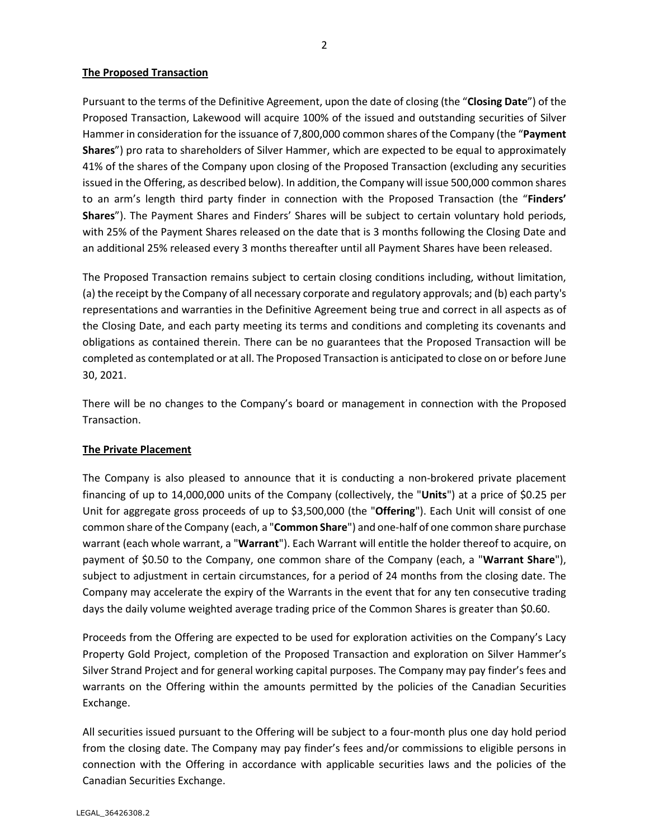#### **The Proposed Transaction**

Pursuant to the terms of the Definitive Agreement, upon the date of closing (the "**Closing Date**") of the Proposed Transaction, Lakewood will acquire 100% of the issued and outstanding securities of Silver Hammer in consideration for the issuance of 7,800,000 common shares of the Company (the "**Payment Shares**") pro rata to shareholders of Silver Hammer, which are expected to be equal to approximately 41% of the shares of the Company upon closing of the Proposed Transaction (excluding any securities issued in the Offering, as described below). In addition, the Company will issue 500,000 common shares to an arm's length third party finder in connection with the Proposed Transaction (the "**Finders' Shares**"). The Payment Shares and Finders' Shares will be subject to certain voluntary hold periods, with 25% of the Payment Shares released on the date that is 3 months following the Closing Date and an additional 25% released every 3 months thereafter until all Payment Shares have been released.

The Proposed Transaction remains subject to certain closing conditions including, without limitation, (a) the receipt by the Company of all necessary corporate and regulatory approvals; and (b) each party's representations and warranties in the Definitive Agreement being true and correct in all aspects as of the Closing Date, and each party meeting its terms and conditions and completing its covenants and obligations as contained therein. There can be no guarantees that the Proposed Transaction will be completed as contemplated or at all. The Proposed Transaction is anticipated to close on or before June 30, 2021.

There will be no changes to the Company's board or management in connection with the Proposed Transaction.

#### **The Private Placement**

The Company is also pleased to announce that it is conducting a non-brokered private placement financing of up to 14,000,000 units of the Company (collectively, the "**Units**") at a price of \$0.25 per Unit for aggregate gross proceeds of up to \$3,500,000 (the "**Offering**"). Each Unit will consist of one common share of the Company (each, a "**Common Share**") and one-half of one common share purchase warrant (each whole warrant, a "**Warrant**"). Each Warrant will entitle the holder thereof to acquire, on payment of \$0.50 to the Company, one common share of the Company (each, a "**Warrant Share**"), subject to adjustment in certain circumstances, for a period of 24 months from the closing date. The Company may accelerate the expiry of the Warrants in the event that for any ten consecutive trading days the daily volume weighted average trading price of the Common Shares is greater than \$0.60.

Proceeds from the Offering are expected to be used for exploration activities on the Company's Lacy Property Gold Project, completion of the Proposed Transaction and exploration on Silver Hammer's Silver Strand Project and for general working capital purposes. The Company may pay finder's fees and warrants on the Offering within the amounts permitted by the policies of the Canadian Securities Exchange.

All securities issued pursuant to the Offering will be subject to a four-month plus one day hold period from the closing date. The Company may pay finder's fees and/or commissions to eligible persons in connection with the Offering in accordance with applicable securities laws and the policies of the Canadian Securities Exchange.